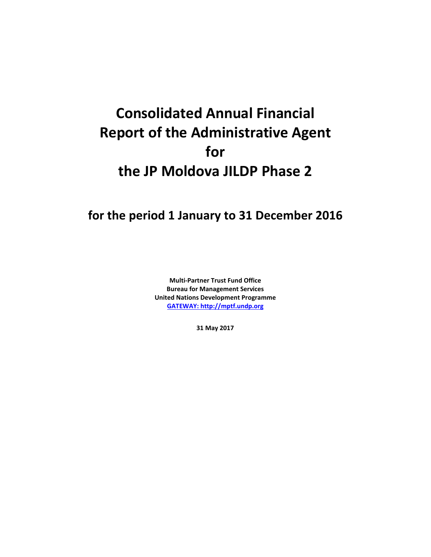# **Consolidated Annual Financial Report of the Administrative Agent for the JP Moldova JILDP Phase 2**

**for the period 1 January to 31 December 2016**

**Multi-Partner Trust Fund Office Bureau for Management Services United Nations Development Programme [GATEWAY: http://mptf.undp.org](http://mptf.undp.org/)**

**31 May 2017**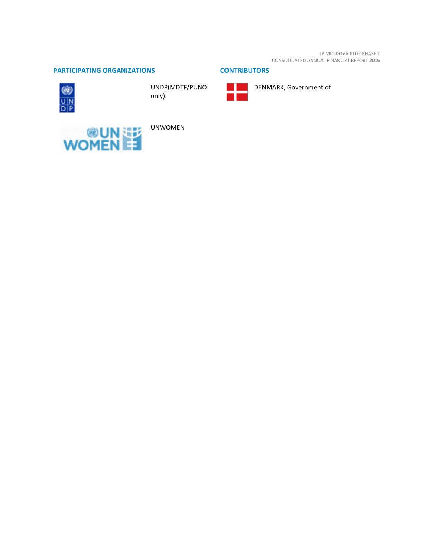JP MOLDOVA JILDP PHASE 2 CONSOLIDATED ANNUAL FINANCIAL REPORT **2016**

# **PARTICIPATING ORGANIZATIONS CONTRIBUTORS**



UNDP(MDTF/PUNO only).





DENMARK, Government of



UNWOMEN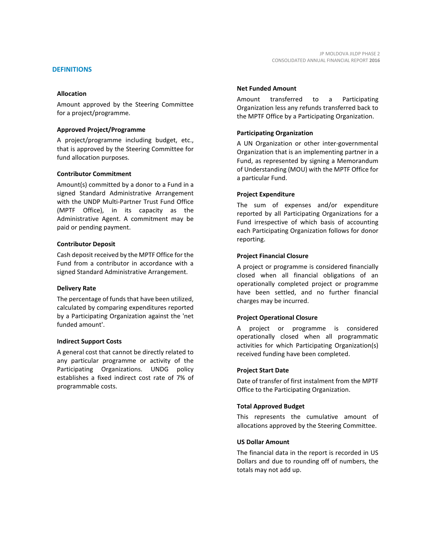Amount approved by the Steering Committee for a project/programme.

#### **Approved Project/Programme**

A project/programme including budget, etc., that is approved by the Steering Committee for fund allocation purposes.

## **Contributor Commitment**

Amount(s) committed by a donor to a Fund in a signed Standard Administrative Arrangement with the UNDP Multi-Partner Trust Fund Office (MPTF Office), in its capacity as the Administrative Agent. A commitment may be paid or pending payment.

## **Contributor Deposit**

Cash deposit received by the MPTF Office for the Fund from a contributor in accordance with a signed Standard Administrative Arrangement.

#### **Delivery Rate**

The percentage of funds that have been utilized, calculated by comparing expenditures reported by a Participating Organization against the 'net funded amount'.

## **Indirect Support Costs**

A general cost that cannot be directly related to any particular programme or activity of the Participating Organizations. UNDG policy establishes a fixed indirect cost rate of 7% of programmable costs.

## **Net Funded Amount**

Amount transferred to a Participating Organization less any refunds transferred back to the MPTF Office by a Participating Organization.

## **Participating Organization**

A UN Organization or other inter-governmental Organization that is an implementing partner in a Fund, as represented by signing a Memorandum of Understanding (MOU) with the MPTF Office for a particular Fund.

## **Project Expenditure**

The sum of expenses and/or expenditure reported by all Participating Organizations for a Fund irrespective of which basis of accounting each Participating Organization follows for donor reporting.

## **Project Financial Closure**

A project or programme is considered financially closed when all financial obligations of an operationally completed project or programme have been settled, and no further financial charges may be incurred.

## **Project Operational Closure**

A project or programme is considered operationally closed when all programmatic activities for which Participating Organization(s) received funding have been completed.

## **Project Start Date**

Date of transfer of first instalment from the MPTF Office to the Participating Organization.

#### **Total Approved Budget**

This represents the cumulative amount of allocations approved by the Steering Committee.

## **US Dollar Amount**

The financial data in the report is recorded in US Dollars and due to rounding off of numbers, the totals may not add up.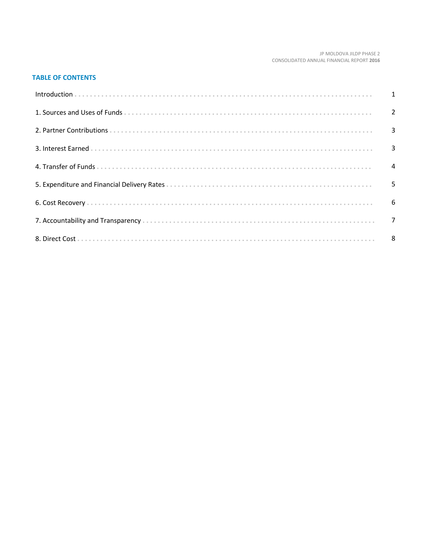#### JP MOLDOVA JILDP PHASE 2 CONSOLIDATED ANNUAL FINANCIAL REPORT 2016

# **TABLE OF CONTENTS**

| Introduction 1 1 |   |
|------------------|---|
|                  |   |
|                  |   |
|                  |   |
|                  |   |
|                  | 5 |
|                  |   |
|                  |   |
|                  |   |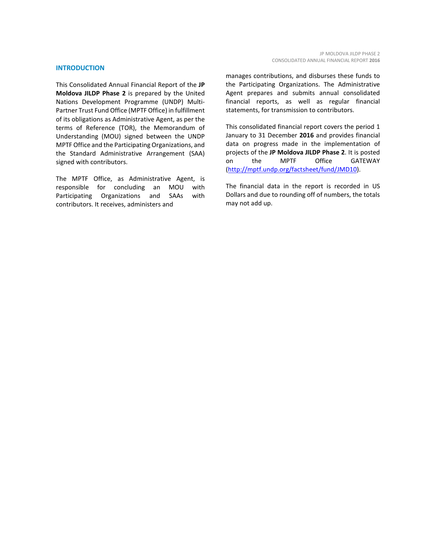#### **INTRODUCTION**

This Consolidated Annual Financial Report of the **JP Moldova JILDP Phase 2** is prepared by the United Nations Development Programme (UNDP) Multi-Partner Trust Fund Office (MPTF Office) in fulfillment of its obligations as Administrative Agent, as per the terms of Reference (TOR), the Memorandum of Understanding (MOU) signed between the UNDP MPTF Office and the Participating Organizations, and the Standard Administrative Arrangement (SAA) signed with contributors.

The MPTF Office, as Administrative Agent, is<br>responsible for concluding an MOU with responsible for concluding an MOU with Participating Organizations and SAAs with contributors. It receives, administers and

manages contributions, and disburses these funds to the Participating Organizations. The Administrative Agent prepares and submits annual consolidated financial reports, as well as regular financial statements, for transmission to contributors.

This consolidated financial report covers the period 1 January to 31 December **2016** and provides financial data on progress made in the implementation of projects of the **JP Moldova JILDP Phase 2**. It is posted on the MPTF Office GATEWAY [\(http://mptf.undp.org/factsheet/fund/JMD10\)](http://mptf.undp.org/factsheet/fund/JMD10).

The financial data in the report is recorded in US Dollars and due to rounding off of numbers, the totals may not add up.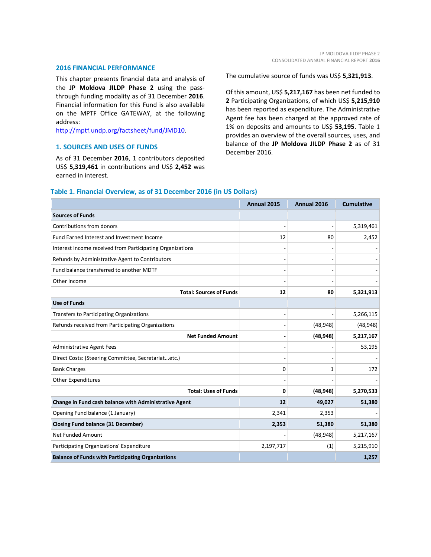#### **2016 FINANCIAL PERFORMANCE**

This chapter presents financial data and analysis of the **JP Moldova JILDP Phase 2** using the passthrough funding modality as of 31 December **2016**. Financial information for this Fund is also available on the MPTF Office GATEWAY, at the following address:

[http://mptf.undp.org/factsheet/fund/JMD10.](http://mptf.undp.org/factsheet/fund/JMD10)

# **1. SOURCES AND USES OF FUNDS**

As of 31 December **2016**, 1 contributors deposited US\$ **5,319,461** in contributions and US\$ **2,452** was earned in interest.

The cumulative source of funds was US\$ **5,321,913**.

Of this amount, US\$ **5,217,167** has been net funded to **2** Participating Organizations, of which US\$ **5,215,910** has been reported as expenditure. The Administrative Agent fee has been charged at the approved rate of 1% on deposits and amounts to US\$ **53,195**. Table 1 provides an overview of the overall sources, uses, and balance of the **JP Moldova JILDP Phase 2** as of 31 December 2016.

|                                                           | Annual 2015 | Annual 2016  | <b>Cumulative</b> |
|-----------------------------------------------------------|-------------|--------------|-------------------|
| <b>Sources of Funds</b>                                   |             |              |                   |
| Contributions from donors                                 |             |              | 5,319,461         |
| Fund Earned Interest and Investment Income                | 12          | 80           | 2,452             |
| Interest Income received from Participating Organizations |             |              |                   |
| Refunds by Administrative Agent to Contributors           |             |              |                   |
| Fund balance transferred to another MDTF                  |             |              |                   |
| Other Income                                              |             |              |                   |
| <b>Total: Sources of Funds</b>                            | 12          | 80           | 5,321,913         |
| <b>Use of Funds</b>                                       |             |              |                   |
| Transfers to Participating Organizations                  |             |              | 5,266,115         |
| Refunds received from Participating Organizations         |             | (48, 948)    | (48, 948)         |
| <b>Net Funded Amount</b>                                  |             | (48, 948)    | 5,217,167         |
| <b>Administrative Agent Fees</b>                          |             |              | 53,195            |
| Direct Costs: (Steering Committee, Secretariatetc.)       |             |              |                   |
| <b>Bank Charges</b>                                       | $\Omega$    | $\mathbf{1}$ | 172               |
| <b>Other Expenditures</b>                                 |             |              |                   |
| <b>Total: Uses of Funds</b>                               | 0           | (48, 948)    | 5,270,533         |
| Change in Fund cash balance with Administrative Agent     | 12          | 49,027       | 51,380            |
| Opening Fund balance (1 January)                          | 2,341       | 2,353        |                   |
| <b>Closing Fund balance (31 December)</b>                 | 2,353       | 51,380       | 51,380            |
| <b>Net Funded Amount</b>                                  |             | (48, 948)    | 5,217,167         |
| Participating Organizations' Expenditure                  | 2,197,717   | (1)          | 5,215,910         |
| <b>Balance of Funds with Participating Organizations</b>  |             |              | 1,257             |

# **Table 1. Financial Overview, as of 31 December 2016 (in US Dollars)**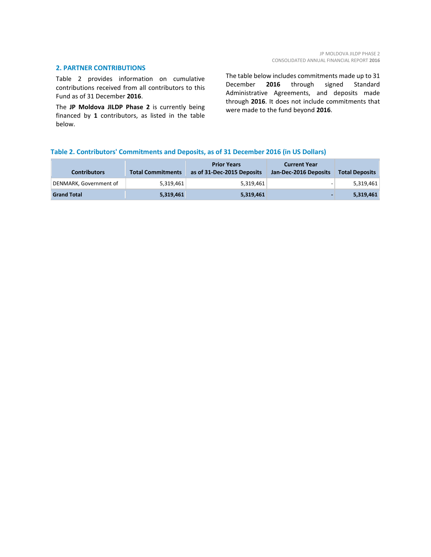# **2. PARTNER CONTRIBUTIONS**

Table 2 provides information on cumulative contributions received from all contributors to this Fund as of 31 December **2016**.

The **JP Moldova JILDP Phase 2** is currently being financed by **1** contributors, as listed in the table below.

The table below includes commitments made up to 31 December **2016** through signed Standard Administrative Agreements, and deposits made through **2016**. It does not include commitments that were made to the fund beyond **2016**.

# **Table 2. Contributors' Commitments and Deposits, as of 31 December 2016 (in US Dollars)**

| <b>Contributors</b>    | <b>Total Commitments</b> | <b>Prior Years</b><br>as of 31-Dec-2015 Deposits | <b>Current Year</b><br>Jan-Dec-2016 Deposits | <b>Total Deposits</b> |
|------------------------|--------------------------|--------------------------------------------------|----------------------------------------------|-----------------------|
| DENMARK, Government of | 5,319,461                | 5.319.461                                        |                                              | 5,319,461             |
| <b>Grand Total</b>     | 5,319,461                | 5,319,461                                        |                                              | 5,319,461             |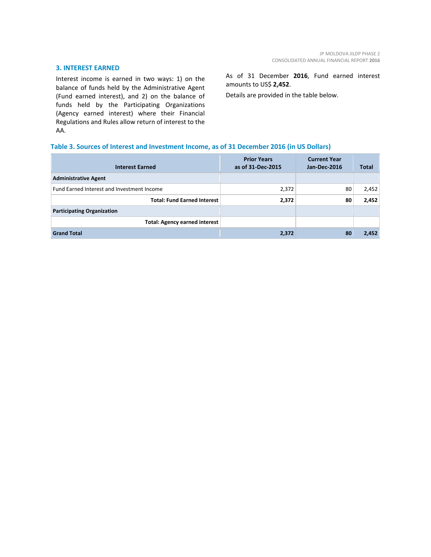# **3. INTEREST EARNED**

Interest income is earned in two ways: 1) on the balance of funds held by the Administrative Agent (Fund earned interest), and 2) on the balance of funds held by the Participating Organizations (Agency earned interest) where their Financial Regulations and Rules allow return of interest to the AA.

As of 31 December **2016**, Fund earned interest amounts to US\$ **2,452**.

Details are provided in the table below.

# **Table 3. Sources of Interest and Investment Income, as of 31 December 2016 (in US Dollars)**

| <b>Interest Earned</b>                     | <b>Prior Years</b><br>as of 31-Dec-2015 | <b>Current Year</b><br>Jan-Dec-2016 | Total |
|--------------------------------------------|-----------------------------------------|-------------------------------------|-------|
| <b>Administrative Agent</b>                |                                         |                                     |       |
| Fund Earned Interest and Investment Income | 2,372                                   | 80                                  | 2,452 |
| <b>Total: Fund Earned Interest</b>         | 2,372                                   | 80                                  | 2,452 |
| <b>Participating Organization</b>          |                                         |                                     |       |
| <b>Total: Agency earned interest</b>       |                                         |                                     |       |
| <b>Grand Total</b>                         | 2,372                                   | 80                                  | 2,452 |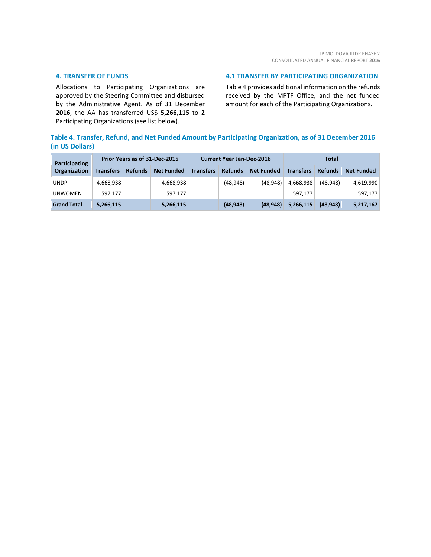## **4. TRANSFER OF FUNDS**

Allocations to Participating Organizations are approved by the Steering Committee and disbursed by the Administrative Agent. As of 31 December **2016**, the AA has transferred US\$ **5,266,115** to **2** Participating Organizations (see list below).

# **4.1 TRANSFER BY PARTICIPATING ORGANIZATION**

Table 4 provides additional information on the refunds received by the MPTF Office, and the net funded amount for each of the Participating Organizations.

# **Table 4. Transfer, Refund, and Net Funded Amount by Participating Organization, as of 31 December 2016 (in US Dollars)**

| <b>Participating</b><br>Organization | Prior Years as of 31-Dec-2015 |                |                   | <b>Current Year Jan-Dec-2016</b> |                |                   | Total            |                |                   |
|--------------------------------------|-------------------------------|----------------|-------------------|----------------------------------|----------------|-------------------|------------------|----------------|-------------------|
|                                      | <b>Transfers</b>              | <b>Refunds</b> | <b>Net Funded</b> | <b>Transfers</b>                 | <b>Refunds</b> | <b>Net Funded</b> | <b>Transfers</b> | <b>Refunds</b> | <b>Net Funded</b> |
| <b>UNDP</b>                          | 4.668.938                     |                | 4,668,938         |                                  | (48, 948)      | (48, 948)         | 4,668,938        | (48.948)       | 4,619,990         |
| <b>UNWOMEN</b>                       | 597.177                       |                | 597,177           |                                  |                |                   | 597.177          |                | 597,177           |
| <b>Grand Total</b>                   | 5,266,115                     |                | 5,266,115         |                                  | (48, 948)      | (48, 948)         | 5,266,115        | (48, 948)      | 5,217,167         |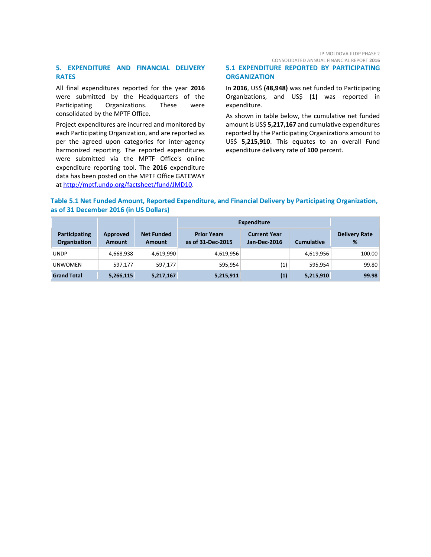JP MOLDOVA JILDP PHASE 2 CONSOLIDATED ANNUAL FINANCIAL REPORT **2016**

# **5. EXPENDITURE AND FINANCIAL DELIVERY RATES**

All final expenditures reported for the year **2016** were submitted by the Headquarters of the Participating Organizations. These were consolidated by the MPTF Office.

Project expenditures are incurred and monitored by each Participating Organization, and are reported as per the agreed upon categories for inter-agency harmonized reporting. The reported expenditures were submitted via the MPTF Office's online expenditure reporting tool. The **2016** expenditure data has been posted on the MPTF Office GATEWAY at [http://mptf.undp.org/factsheet/fund/JMD10.](http://mptf.undp.org/factsheet/fund/JMD10)

# **5.1 EXPENDITURE REPORTED BY PARTICIPATING ORGANIZATION**

In **2016**, US\$ **(48,948)** was net funded to Participating Organizations, and US\$ **(1)** was reported in expenditure.

As shown in table below, the cumulative net funded amount is US\$ **5,217,167** and cumulative expenditures reported by the Participating Organizations amount to US\$ **5,215,910**. This equates to an overall Fund expenditure delivery rate of **100** percent.

# **Table 5.1 Net Funded Amount, Reported Expenditure, and Financial Delivery by Participating Organization, as of 31 December 2016 (in US Dollars)**

|                                             |                           |                             | <b>Expenditure</b>                      |                                     |                   |                           |
|---------------------------------------------|---------------------------|-----------------------------|-----------------------------------------|-------------------------------------|-------------------|---------------------------|
| <b>Participating</b><br><b>Organization</b> | Approved<br><b>Amount</b> | <b>Net Funded</b><br>Amount | <b>Prior Years</b><br>as of 31-Dec-2015 | <b>Current Year</b><br>Jan-Dec-2016 | <b>Cumulative</b> | <b>Delivery Rate</b><br>% |
| <b>UNDP</b>                                 | 4,668,938                 | 4,619,990                   | 4,619,956                               |                                     | 4,619,956         | 100.00                    |
| <b>UNWOMEN</b>                              | 597,177                   | 597,177                     | 595,954                                 | $\left( 1\right)$                   | 595.954           | 99.80                     |
| <b>Grand Total</b>                          | 5,266,115                 | 5,217,167                   | 5,215,911                               | (1)                                 | 5,215,910         | 99.98                     |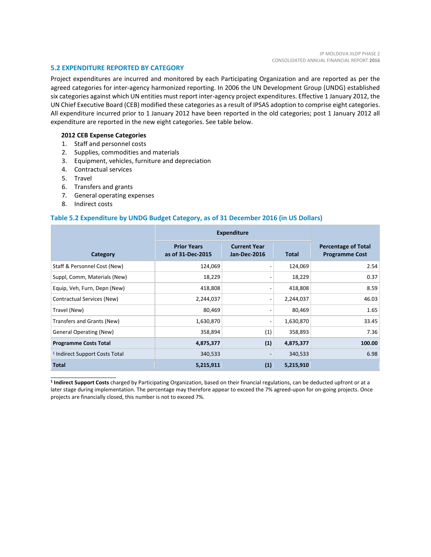## **5.2 EXPENDITURE REPORTED BY CATEGORY**

Project expenditures are incurred and monitored by each Participating Organization and are reported as per the agreed categories for inter-agency harmonized reporting. In 2006 the UN Development Group (UNDG) established six categories against which UN entities must report inter-agency project expenditures. Effective 1 January 2012, the UN Chief Executive Board (CEB) modified these categories as a result of IPSAS adoption to comprise eight categories. All expenditure incurred prior to 1 January 2012 have been reported in the old categories; post 1 January 2012 all expenditure are reported in the new eight categories. See table below.

## **2012 CEB Expense Categories**

- 1. Staff and personnel costs
- 2. Supplies, commodities and materials
- 3. Equipment, vehicles, furniture and depreciation
- 4. Contractual services
- 5. Travel
- 6. Transfers and grants
- 7. General operating expenses
- 8. Indirect costs

\_\_\_\_\_\_\_\_\_\_\_\_\_\_\_\_\_\_\_\_\_\_

## **Table 5.2 Expenditure by UNDG Budget Category, as of 31 December 2016 (in US Dollars)**

|                                           | <b>Expenditure</b>                      |                                     |              |                                                     |
|-------------------------------------------|-----------------------------------------|-------------------------------------|--------------|-----------------------------------------------------|
| Category                                  | <b>Prior Years</b><br>as of 31-Dec-2015 | <b>Current Year</b><br>Jan-Dec-2016 | <b>Total</b> | <b>Percentage of Total</b><br><b>Programme Cost</b> |
| Staff & Personnel Cost (New)              | 124,069                                 |                                     | 124,069      | 2.54                                                |
| Suppl, Comm, Materials (New)              | 18,229                                  |                                     | 18,229       | 0.37                                                |
| Equip, Veh, Furn, Depn (New)              | 418,808                                 |                                     | 418,808      | 8.59                                                |
| Contractual Services (New)                | 2,244,037                               |                                     | 2,244,037    | 46.03                                               |
| Travel (New)                              | 80,469                                  |                                     | 80,469       | 1.65                                                |
| Transfers and Grants (New)                | 1,630,870                               |                                     | 1,630,870    | 33.45                                               |
| <b>General Operating (New)</b>            | 358,894                                 | (1)                                 | 358,893      | 7.36                                                |
| <b>Programme Costs Total</b>              | 4,875,377                               | (1)                                 | 4,875,377    | 100.00                                              |
| <sup>1</sup> Indirect Support Costs Total | 340,533                                 |                                     | 340,533      | 6.98                                                |
| <b>Total</b>                              | 5,215,911                               | (1)                                 | 5,215,910    |                                                     |

**<sup>1</sup> Indirect Support Costs** charged by Participating Organization, based on their financial regulations, can be deducted upfront or at a later stage during implementation. The percentage may therefore appear to exceed the 7% agreed-upon for on-going projects. Once projects are financially closed, this number is not to exceed 7%.